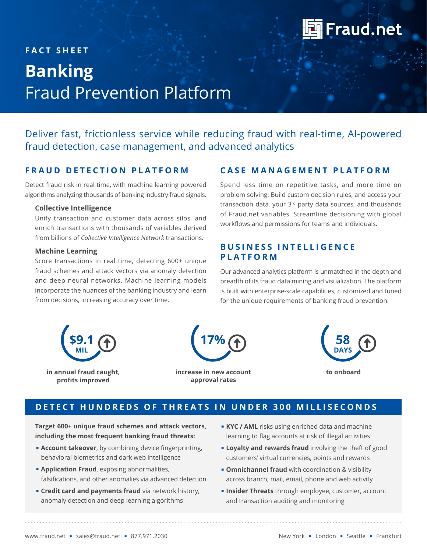

# **FACT SHEET Banking** Fraud Prevention Platform

Deliver fast, frictionless service while reducing fraud with real-time, AI-powered fraud detection, case management, and advanced analytics

### **FRAUD DETECTION PLATFORM**

Detect fraud risk in real time, with machine learning powered algorithms analyzing thousands of banking industry fraud signals.

#### **Collective Intelligence**

Unify transaction and customer data across silos, and enrich transactions with thousands of variables derived from billions of *Collective Intelligence Network* transactions.

#### **Machine Learning**

Score transactions in real time, detecting 600+ unique fraud schemes and attack vectors via anomaly detection and deep neural networks. Machine learning models incorporate the nuances of the banking industry and learn from decisions, increasing accuracy over time.

### **CASE MANAGEMENT PLATFORM**

Spend less time on repetitive tasks, and more time on problem solving. Build custom decision rules, and access your transaction data, your 3<sup>rd</sup> party data sources, and thousands of Fraud.net variables. Streamline decisioning with global workflows and permissions for teams and individuals.

### **B U S I N E S S I N T E L L I G E N C E PLATFORM**

Our advanced analytics platform is unmatched in the depth and breadth of its fraud data mining and visualization. The platform is built with enterprise-scale capabilities, customized and tuned for the unique requirements of banking fraud prevention.



**in annual fraud caught, profits improved**



**increase in new account approval rates**



### **DETECT HUNDREDS OF THREATS IN UNDER 300 MILLISECONDS**

**Target 600+ unique fraud schemes and attack vectors, including the most frequent banking fraud threats:**

- **Account takeover**, by combining device fingerprinting, behavioral biometrics and dark web intelligence
- **E** Application Fraud, exposing abnormalities, falsifications, and other anomalies via advanced detection
- **Exercit card and payments fraud** via network history, anomaly detection and deep learning algorithms
- **KYC / AML** risks using enriched data and machine learning to flag accounts at risk of illegal activities
- **Example 2 Loyalty and rewards fraud** involving the theft of good customers' virtual currencies, points and rewards
- **Omnichannel fraud** with coordination & visibility across branch, mail, email, phone and web activity
- **. Insider Threats** through employee, customer, account and transaction auditing and monitoring